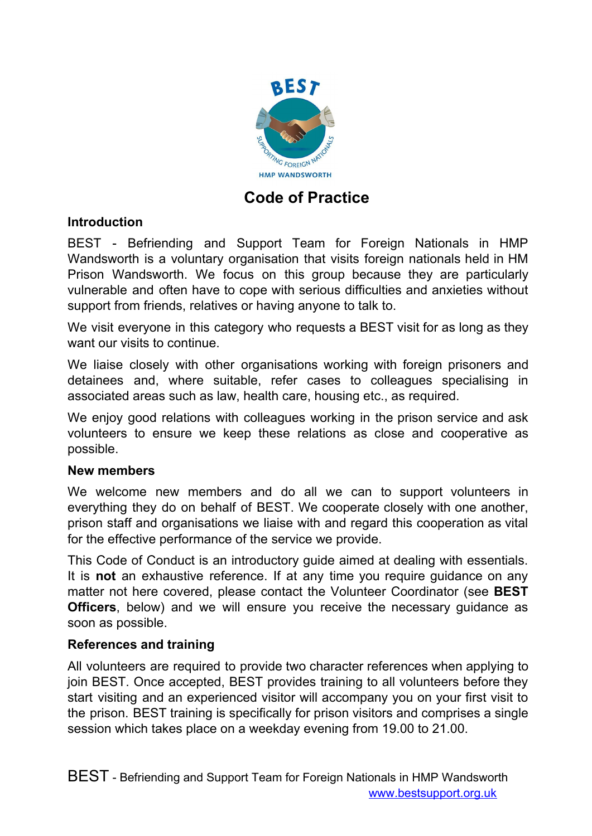

# **Code of Practice**

# **Introduction**

BEST - Befriending and Support Team for Foreign Nationals in HMP Wandsworth is a voluntary organisation that visits foreign nationals held in HM Prison Wandsworth. We focus on this group because they are particularly vulnerable and often have to cope with serious difficulties and anxieties without support from friends, relatives or having anyone to talk to.

We visit everyone in this category who requests a BEST visit for as long as they want our visits to continue.

We liaise closely with other organisations working with foreign prisoners and detainees and, where suitable, refer cases to colleagues specialising in associated areas such as law, health care, housing etc., as required.

We enjoy good relations with colleagues working in the prison service and ask volunteers to ensure we keep these relations as close and cooperative as possible.

### **New members**

We welcome new members and do all we can to support volunteers in everything they do on behalf of BEST. We cooperate closely with one another, prison staff and organisations we liaise with and regard this cooperation as vital for the effective performance of the service we provide.

This Code of Conduct is an introductory guide aimed at dealing with essentials. It is **not** an exhaustive reference. If at any time you require guidance on any matter not here covered, please contact the Volunteer Coordinator (see **BEST Officers**, below) and we will ensure you receive the necessary guidance as soon as possible.

### **References and training**

All volunteers are required to provide two character references when applying to join BEST. Once accepted, BEST provides training to all volunteers before they start visiting and an experienced visitor will accompany you on your first visit to the prison. BEST training is specifically for prison visitors and comprises a single session which takes place on a weekday evening from 19.00 to 21.00.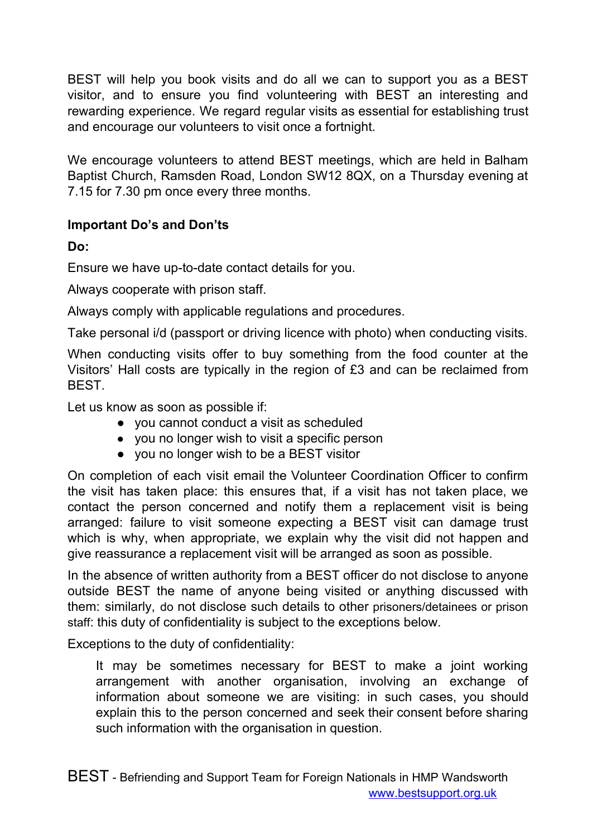BEST will help you book visits and do all we can to support you as a BEST visitor, and to ensure you find volunteering with BEST an interesting and rewarding experience. We regard regular visits as essential for establishing trust and encourage our volunteers to visit once a fortnight.

We encourage volunteers to attend BEST meetings, which are held in Balham Baptist Church, Ramsden Road, London SW12 8QX, on a Thursday evening at 7.15 for 7.30 pm once every three months.

# **Important Do's and Don'ts**

**Do:**

Ensure we have up-to-date contact details for you.

Always cooperate with prison staff.

Always comply with applicable regulations and procedures.

Take personal i/d (passport or driving licence with photo) when conducting visits.

When conducting visits offer to buy something from the food counter at the Visitors' Hall costs are typically in the region of £3 and can be reclaimed from BEST.

Let us know as soon as possible if:

- you cannot conduct a visit as scheduled
- you no longer wish to visit a specific person
- you no longer wish to be a BEST visitor

On completion of each visit email the Volunteer Coordination Officer to confirm the visit has taken place: this ensures that, if a visit has not taken place, we contact the person concerned and notify them a replacement visit is being arranged: failure to visit someone expecting a BEST visit can damage trust which is why, when appropriate, we explain why the visit did not happen and give reassurance a replacement visit will be arranged as soon as possible.

In the absence of written authority from a BEST officer do not disclose to anyone outside BEST the name of anyone being visited or anything discussed with them: similarly, do not disclose such details to other prisoners/detainees or prison staff: this duty of confidentiality is subject to the exceptions below.

Exceptions to the duty of confidentiality:

It may be sometimes necessary for BEST to make a joint working arrangement with another organisation, involving an exchange of information about someone we are visiting: in such cases, you should explain this to the person concerned and seek their consent before sharing such information with the organisation in question.